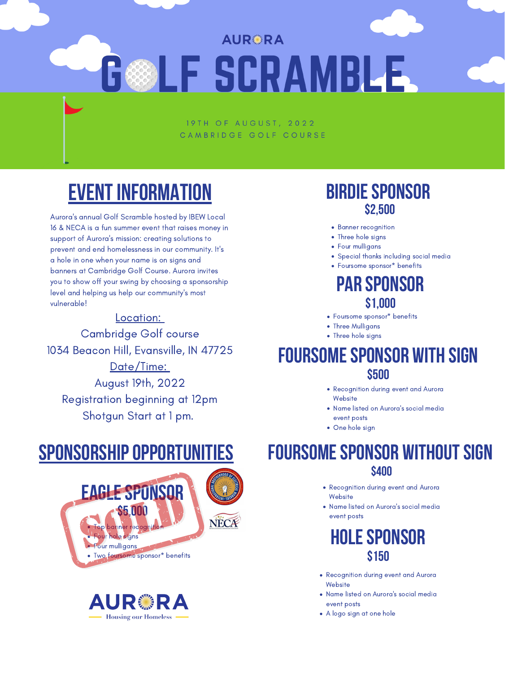# **Sponsorshipopportunities**





- Foursome sponsor\* benefits
- Three Mulligans
- Three hole signs

Aurora ' s annual Golf Scramble hosted by IBEW Local 16 & NECA is a fun summer event that raises money in support of Aurora ' s mission: creating solutions to prevent and end homelessness in our community. It' s a hole in one when your name is on signs and banners at Cambridge Golf Course. Aurora invites you to show off your swing by choosing a sponsorship level and helping us help our community ' s most vulnerable!

- Recognition during event and Aurora **Website**
- Name listed on Aurora 's social media
- event posts
- One hole sign

### **FOURSOME SPONSOR WITHOUT SIGN \$400**

- **Banner recognition**
- Three hole signs
- Four mulligans
- Special thanks including social media
- Foursome sponsor\* benefits

#### **Birdiesponsor \$2,500**

### **Par sponsor \$1,000**

#### **Foursomesponsor with sign \$500**



- Recognition during event and Aurora **Website**
- Name listed on Aurora 's social media event posts
- A logo sign at one hole



# **Eventinformation**

#### Location:

Cambridge Golf course 1034 Beacon Hill, Evansville, IN 47725 Date/Time: August 19th, 2022 Registration beginning at 12pm Shotgun Start at 1 pm.

- Recognition during event and Aurora **Website**
- Name listed on Aurora ' s social media event posts